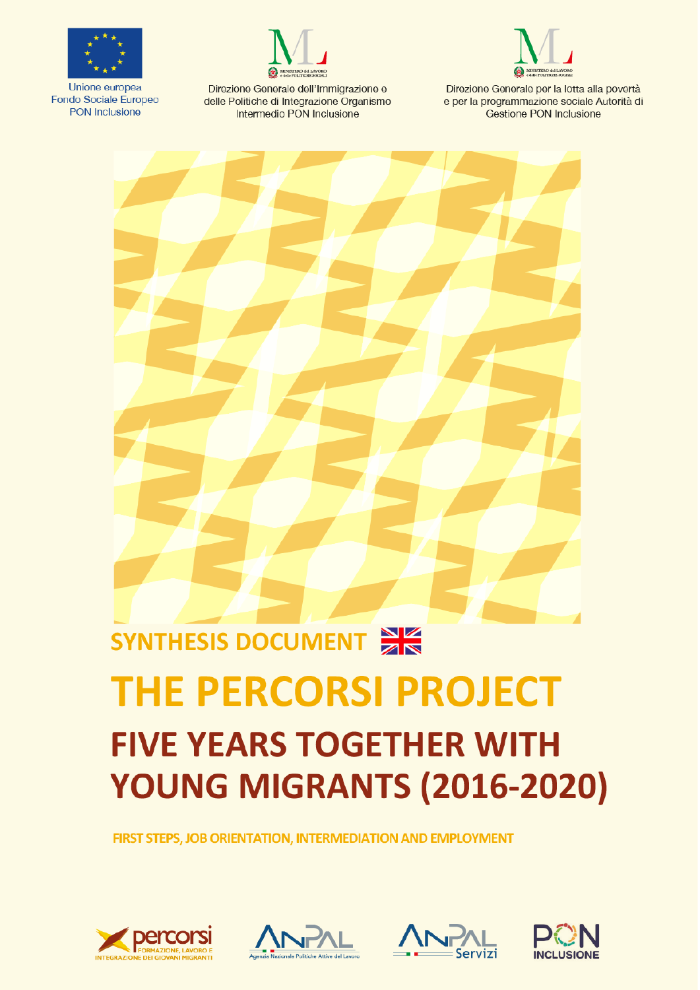

Unione europea Fondo Sociale Europeo **PON Inclusione** 



Direzione Generale dell'Immigrazione e delle Politiche di Integrazione Organismo Intermedio PON Inclusione



Direzione Generale per la lotta alla povertà e per la programmazione sociale Autorità di Gestione PON Inclusione



# **THE PERCORSI PROJECT FIVE YEARS TOGETHER WITH** YOUNG MIGRANTS (2016-2020)

FIRST STEPS, JOB ORIENTATION, INTERMEDIATION AND EMPLOYMENT







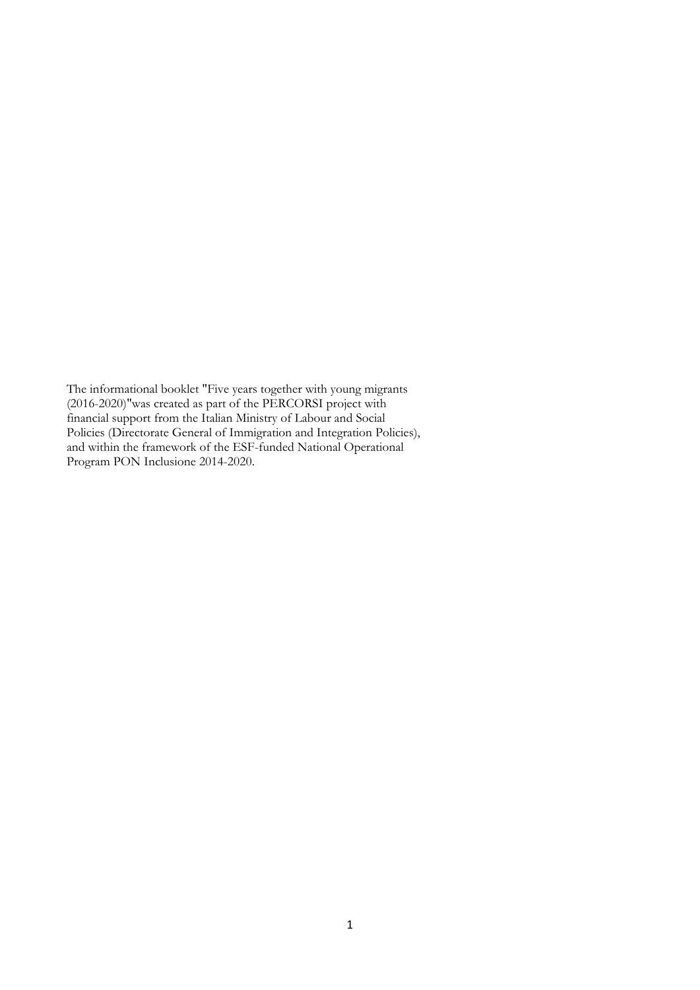The informational booklet "Five years together with young migrants (2016-2020)"was created as part of the PERCORSI project with financial support from the Italian Ministry of Labour and Social Policies (Directorate General of Immigration and Integration Policies), and within the framework of the ESF-funded National Operational Program PON Inclusione 2014-2020.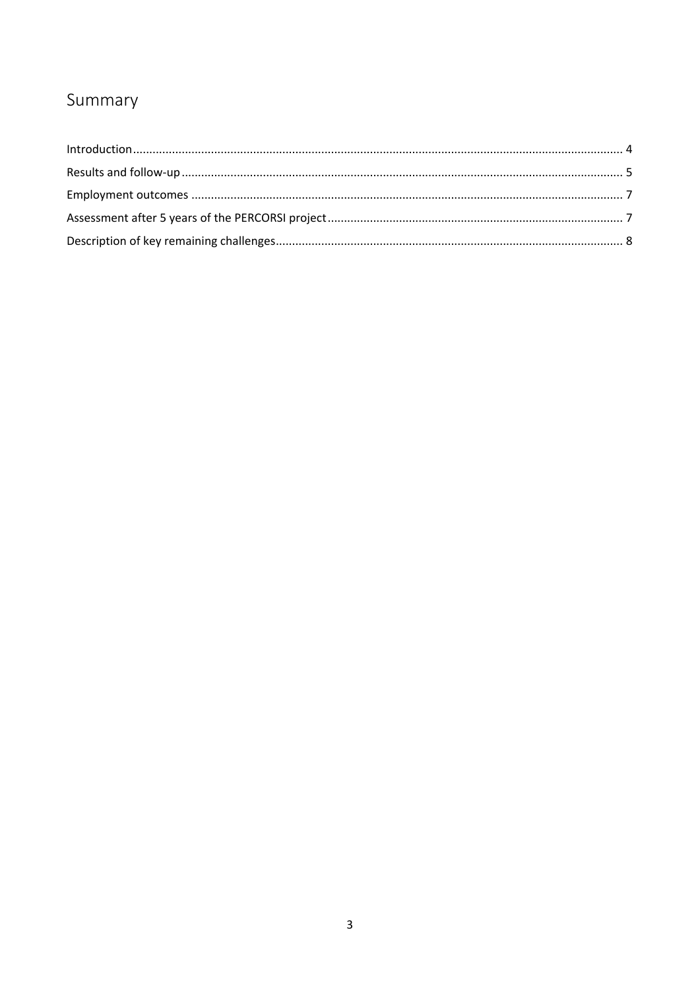## Summary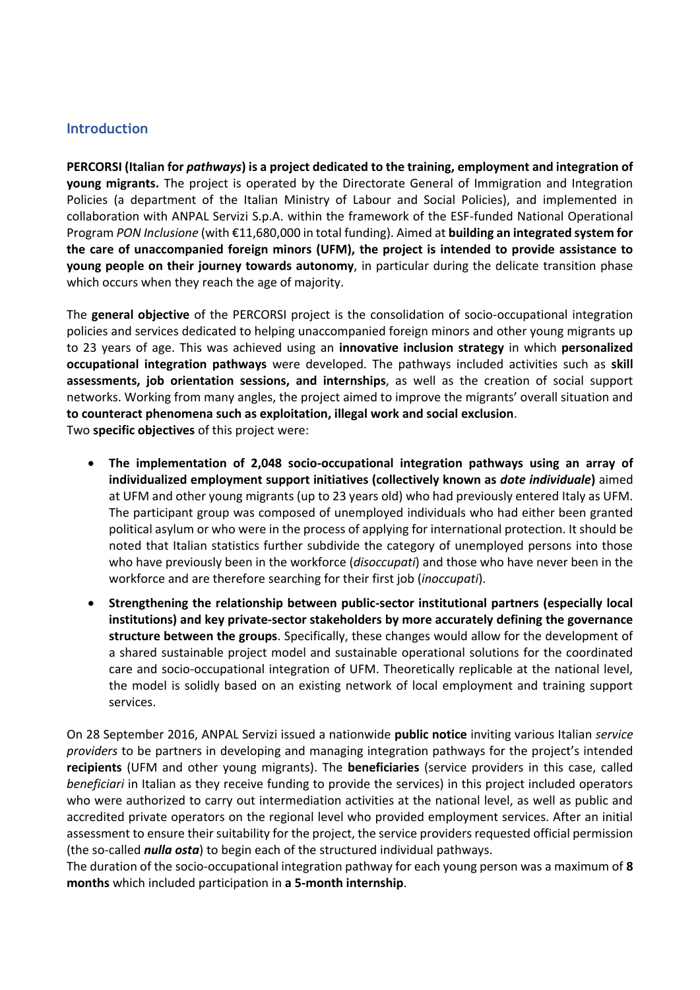#### <span id="page-3-0"></span>**Introduction**

**PERCORSI (Italian for** *pathways***) is a project dedicated to the training, employment and integration of young migrants.** The project is operated by the Directorate General of Immigration and Integration Policies (a department of the Italian Ministry of Labour and Social Policies), and implemented in collaboration with ANPAL Servizi S.p.A. within the framework of the ESF-funded National Operational Program *PON Inclusione* (with €11,680,000 in total funding). Aimed at **building an integrated system for the care of unaccompanied foreign minors (UFM), the project is intended to provide assistance to young people on their journey towards autonomy**, in particular during the delicate transition phase which occurs when they reach the age of majority.

The **general objective** of the PERCORSI project is the consolidation of socio-occupational integration policies and services dedicated to helping unaccompanied foreign minors and other young migrants up to 23 years of age. This was achieved using an **innovative inclusion strategy** in which **personalized occupational integration pathways** were developed. The pathways included activities such as **skill assessments, job orientation sessions, and internships**, as well as the creation of social support networks. Working from many angles, the project aimed to improve the migrants' overall situation and **to counteract phenomena such as exploitation, illegal work and social exclusion**.

Two **specific objectives** of this project were:

- **The implementation of 2,048 socio-occupational integration pathways using an array of individualized employment support initiatives (collectively known as** *dote individuale***)** aimed at UFM and other young migrants (up to 23 years old) who had previously entered Italy as UFM. The participant group was composed of unemployed individuals who had either been granted political asylum or who were in the process of applying for international protection. It should be noted that Italian statistics further subdivide the category of unemployed persons into those who have previously been in the workforce (*disoccupati*) and those who have never been in the workforce and are therefore searching for their first job (*inoccupati*).
- **Strengthening the relationship between public-sector institutional partners (especially local institutions) and key private-sector stakeholders by more accurately defining the governance structure between the groups**. Specifically, these changes would allow for the development of a shared sustainable project model and sustainable operational solutions for the coordinated care and socio-occupational integration of UFM. Theoretically replicable at the national level, the model is solidly based on an existing network of local employment and training support services.

On 28 September 2016, ANPAL Servizi issued a nationwide **public notice** inviting various Italian *service providers* to be partners in developing and managing integration pathways for the project's intended **recipients** (UFM and other young migrants). The **beneficiaries** (service providers in this case, called *beneficiari* in Italian as they receive funding to provide the services) in this project included operators who were authorized to carry out intermediation activities at the national level, as well as public and accredited private operators on the regional level who provided employment services. After an initial assessment to ensure their suitability for the project, the service providers requested official permission (the so-called *nulla osta*) to begin each of the structured individual pathways.

The duration of the socio-occupational integration pathway for each young person was a maximum of **8 months** which included participation in **a 5-month internship**.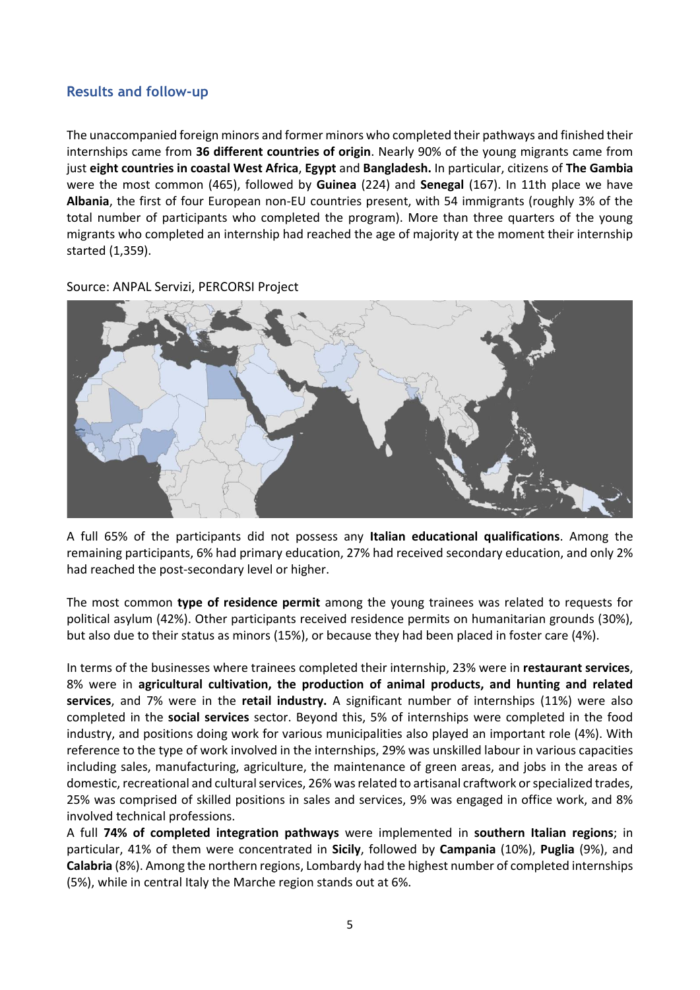#### <span id="page-4-0"></span>**Results and follow-up**

The unaccompanied foreign minors and former minors who completed their pathways and finished their internships came from **36 different countries of origin**. Nearly 90% of the young migrants came from just **eight countries in coastal West Africa**, **Egypt** and **Bangladesh.** In particular, citizens of **The Gambia**  were the most common (465), followed by **Guinea** (224) and **Senegal** (167). In 11th place we have **Albania**, the first of four European non-EU countries present, with 54 immigrants (roughly 3% of the total number of participants who completed the program). More than three quarters of the young migrants who completed an internship had reached the age of majority at the moment their internship started (1,359).

Source: ANPAL Servizi, PERCORSI Project



A full 65% of the participants did not possess any **Italian educational qualifications**. Among the remaining participants, 6% had primary education, 27% had received secondary education, and only 2% had reached the post-secondary level or higher.

The most common **type of residence permit** among the young trainees was related to requests for political asylum (42%). Other participants received residence permits on humanitarian grounds (30%), but also due to their status as minors (15%), or because they had been placed in foster care (4%).

In terms of the businesses where trainees completed their internship, 23% were in **restaurant services**, 8% were in **agricultural cultivation, the production of animal products, and hunting and related services**, and 7% were in the **retail industry.** A significant number of internships (11%) were also completed in the **social services** sector. Beyond this, 5% of internships were completed in the food industry, and positions doing work for various municipalities also played an important role (4%). With reference to the type of work involved in the internships, 29% was unskilled labour in various capacities including sales, manufacturing, agriculture, the maintenance of green areas, and jobs in the areas of domestic, recreational and cultural services, 26% was related to artisanal craftwork or specialized trades, 25% was comprised of skilled positions in sales and services, 9% was engaged in office work, and 8% involved technical professions.

A full **74% of completed integration pathways** were implemented in **southern Italian regions**; in particular, 41% of them were concentrated in **Sicily**, followed by **Campania** (10%), **Puglia** (9%), and **Calabria** (8%). Among the northern regions, Lombardy had the highest number of completed internships (5%), while in central Italy the Marche region stands out at 6%.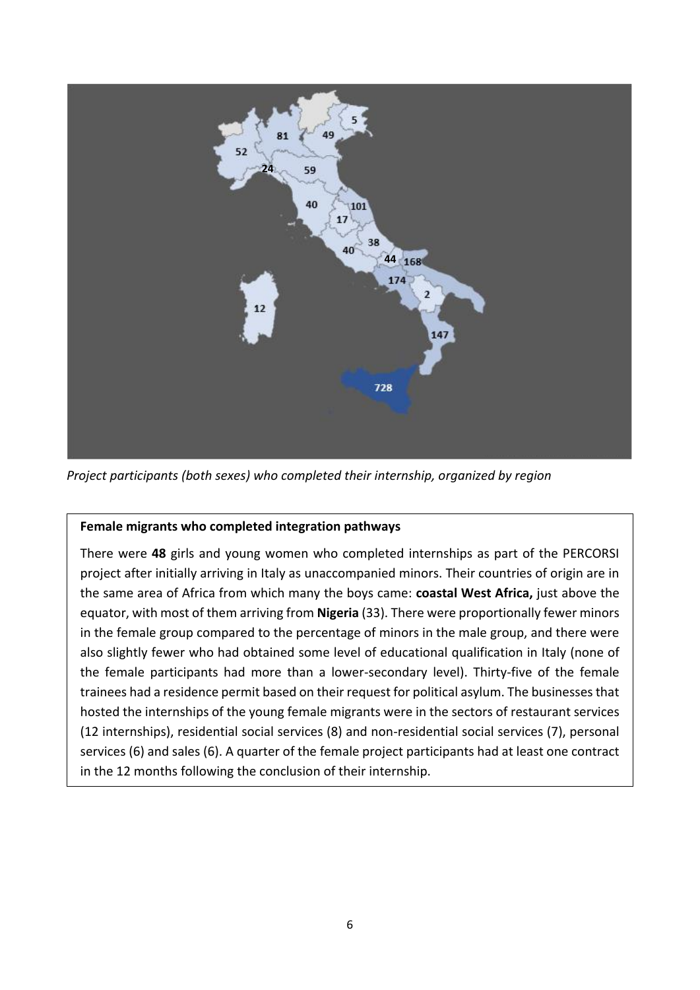

*Project participants (both sexes) who completed their internship, organized by region*

#### **Female migrants who completed integration pathways**

There were **48** girls and young women who completed internships as part of the PERCORSI project after initially arriving in Italy as unaccompanied minors. Their countries of origin are in the same area of Africa from which many the boys came: **coastal West Africa,** just above the equator, with most of them arriving from **Nigeria** (33). There were proportionally fewer minors in the female group compared to the percentage of minors in the male group, and there were also slightly fewer who had obtained some level of educational qualification in Italy (none of the female participants had more than a lower-secondary level). Thirty-five of the female trainees had a residence permit based on their request for political asylum. The businesses that hosted the internships of the young female migrants were in the sectors of restaurant services (12 internships), residential social services (8) and non-residential social services (7), personal services (6) and sales (6). A quarter of the female project participants had at least one contract in the 12 months following the conclusion of their internship.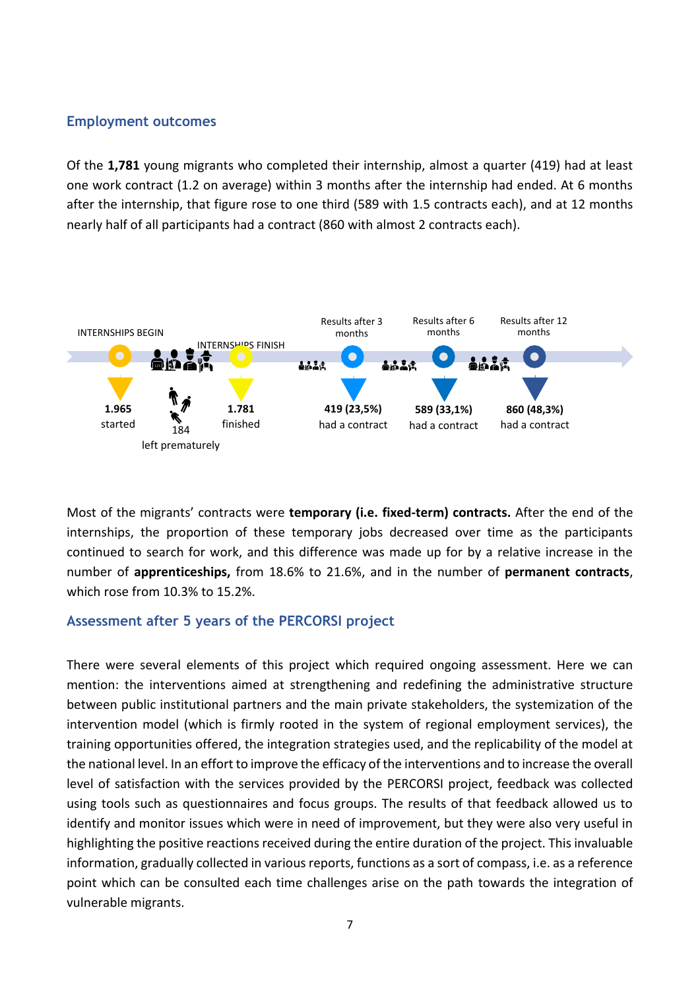#### <span id="page-6-0"></span>**Employment outcomes**

Of the **1,781** young migrants who completed their internship, almost a quarter (419) had at least one work contract (1.2 on average) within 3 months after the internship had ended. At 6 months after the internship, that figure rose to one third (589 with 1.5 contracts each), and at 12 months nearly half of all participants had a contract (860 with almost 2 contracts each).



Most of the migrants' contracts were **temporary (i.e. fixed-term) contracts.** After the end of the internships, the proportion of these temporary jobs decreased over time as the participants continued to search for work, and this difference was made up for by a relative increase in the number of **apprenticeships,** from 18.6% to 21.6%, and in the number of **permanent contracts**, which rose from 10.3% to 15.2%.

#### <span id="page-6-1"></span>**Assessment after 5 years of the PERCORSI project**

There were several elements of this project which required ongoing assessment. Here we can mention: the interventions aimed at strengthening and redefining the administrative structure between public institutional partners and the main private stakeholders, the systemization of the intervention model (which is firmly rooted in the system of regional employment services), the training opportunities offered, the integration strategies used, and the replicability of the model at the national level. In an effort to improve the efficacy of the interventions and to increase the overall level of satisfaction with the services provided by the PERCORSI project, feedback was collected using tools such as questionnaires and focus groups. The results of that feedback allowed us to identify and monitor issues which were in need of improvement, but they were also very useful in highlighting the positive reactions received during the entire duration of the project. This invaluable information, gradually collected in various reports, functions as a sort of compass, i.e. as a reference point which can be consulted each time challenges arise on the path towards the integration of vulnerable migrants.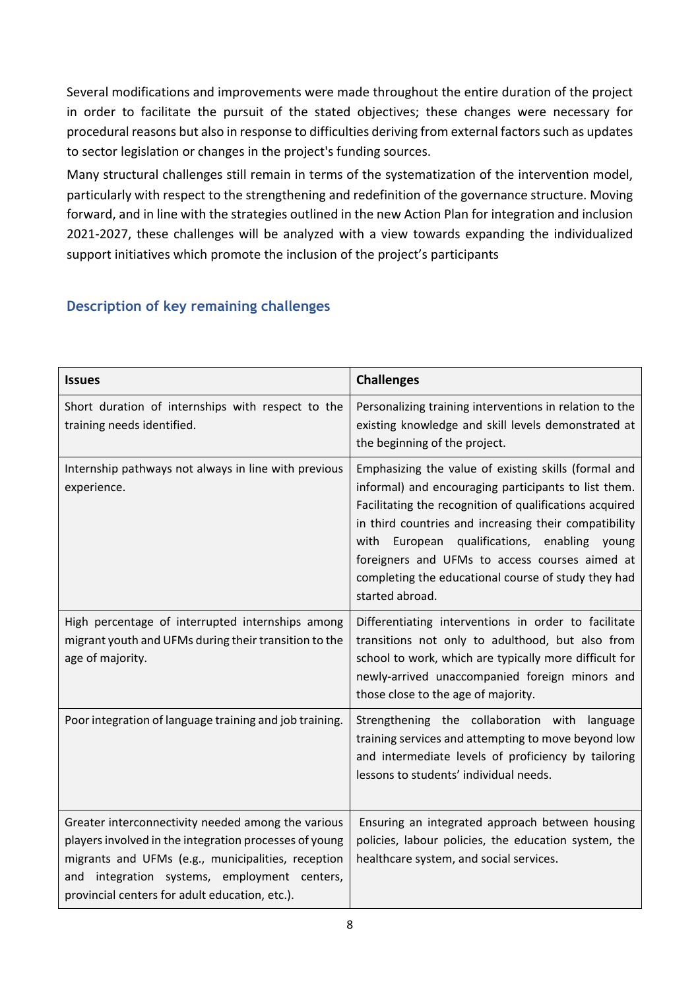Several modifications and improvements were made throughout the entire duration of the project in order to facilitate the pursuit of the stated objectives; these changes were necessary for procedural reasons but also in response to difficulties deriving from external factors such as updates to sector legislation or changes in the project's funding sources.

Many structural challenges still remain in terms of the systematization of the intervention model, particularly with respect to the strengthening and redefinition of the governance structure. Moving forward, and in line with the strategies outlined in the new Action Plan for integration and inclusion 2021-2027, these challenges will be analyzed with a view towards expanding the individualized support initiatives which promote the inclusion of the project's participants

### <span id="page-7-0"></span>**Description of key remaining challenges**

| <b>Issues</b>                                                                                                                                                                                                                                                        | <b>Challenges</b>                                                                                                                                                                                                                                                                                                                                                                                               |  |  |  |  |
|----------------------------------------------------------------------------------------------------------------------------------------------------------------------------------------------------------------------------------------------------------------------|-----------------------------------------------------------------------------------------------------------------------------------------------------------------------------------------------------------------------------------------------------------------------------------------------------------------------------------------------------------------------------------------------------------------|--|--|--|--|
| Short duration of internships with respect to the<br>training needs identified.                                                                                                                                                                                      | Personalizing training interventions in relation to the<br>existing knowledge and skill levels demonstrated at<br>the beginning of the project.                                                                                                                                                                                                                                                                 |  |  |  |  |
| Internship pathways not always in line with previous<br>experience.                                                                                                                                                                                                  | Emphasizing the value of existing skills (formal and<br>informal) and encouraging participants to list them.<br>Facilitating the recognition of qualifications acquired<br>in third countries and increasing their compatibility<br>European qualifications, enabling young<br>with<br>foreigners and UFMs to access courses aimed at<br>completing the educational course of study they had<br>started abroad. |  |  |  |  |
| High percentage of interrupted internships among<br>migrant youth and UFMs during their transition to the<br>age of majority.                                                                                                                                        | Differentiating interventions in order to facilitate<br>transitions not only to adulthood, but also from<br>school to work, which are typically more difficult for<br>newly-arrived unaccompanied foreign minors and<br>those close to the age of majority.                                                                                                                                                     |  |  |  |  |
| Poor integration of language training and job training.                                                                                                                                                                                                              | Strengthening the collaboration with language<br>training services and attempting to move beyond low<br>and intermediate levels of proficiency by tailoring<br>lessons to students' individual needs.                                                                                                                                                                                                           |  |  |  |  |
| Greater interconnectivity needed among the various<br>players involved in the integration processes of young<br>migrants and UFMs (e.g., municipalities, reception<br>and integration systems, employment centers,<br>provincial centers for adult education, etc.). | Ensuring an integrated approach between housing<br>policies, labour policies, the education system, the<br>healthcare system, and social services.                                                                                                                                                                                                                                                              |  |  |  |  |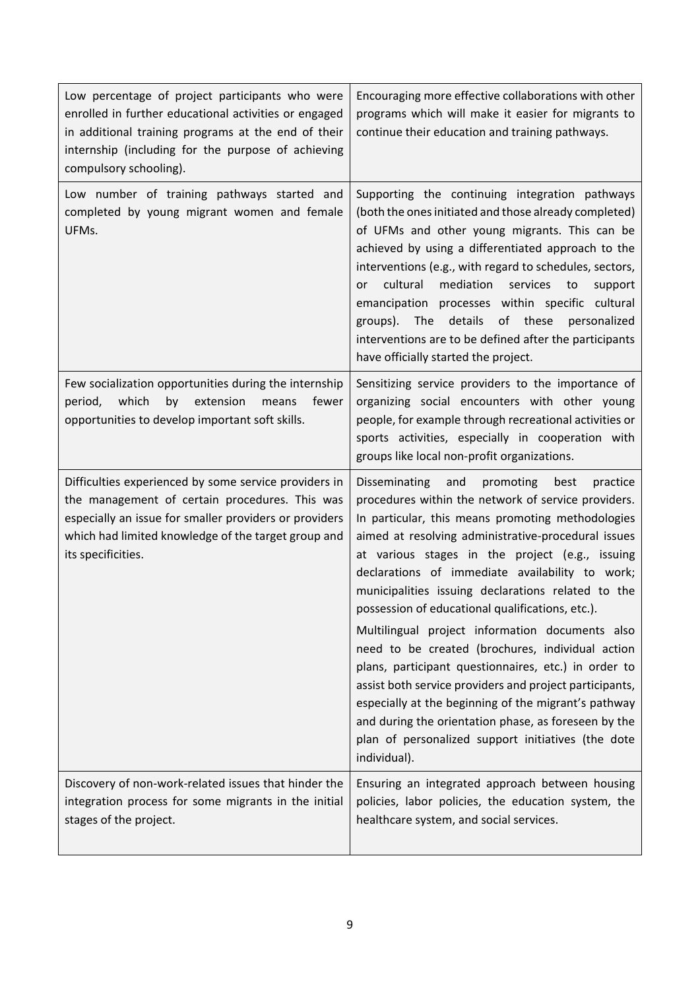| Low percentage of project participants who were<br>enrolled in further educational activities or engaged<br>in additional training programs at the end of their<br>internship (including for the purpose of achieving<br>compulsory schooling). | Encouraging more effective collaborations with other<br>programs which will make it easier for migrants to<br>continue their education and training pathways.                                                                                                                                                                                                                                                                                                                                                                                                                                                                                                                                                                                                                                                                                            |
|-------------------------------------------------------------------------------------------------------------------------------------------------------------------------------------------------------------------------------------------------|----------------------------------------------------------------------------------------------------------------------------------------------------------------------------------------------------------------------------------------------------------------------------------------------------------------------------------------------------------------------------------------------------------------------------------------------------------------------------------------------------------------------------------------------------------------------------------------------------------------------------------------------------------------------------------------------------------------------------------------------------------------------------------------------------------------------------------------------------------|
| Low number of training pathways started and<br>completed by young migrant women and female<br>UFMs.                                                                                                                                             | Supporting the continuing integration pathways<br>(both the ones initiated and those already completed)<br>of UFMs and other young migrants. This can be<br>achieved by using a differentiated approach to the<br>interventions (e.g., with regard to schedules, sectors,<br>cultural<br>mediation<br>services<br>to<br>or<br>support<br>emancipation processes within specific cultural<br>The details<br>of these<br>groups).<br>personalized<br>interventions are to be defined after the participants<br>have officially started the project.                                                                                                                                                                                                                                                                                                        |
| Few socialization opportunities during the internship<br>period, which<br>by extension<br>fewer<br>means<br>opportunities to develop important soft skills.                                                                                     | Sensitizing service providers to the importance of<br>organizing social encounters with other young<br>people, for example through recreational activities or<br>sports activities, especially in cooperation with<br>groups like local non-profit organizations.                                                                                                                                                                                                                                                                                                                                                                                                                                                                                                                                                                                        |
| Difficulties experienced by some service providers in<br>the management of certain procedures. This was<br>especially an issue for smaller providers or providers<br>which had limited knowledge of the target group and<br>its specificities.  | Disseminating<br>and<br>promoting<br>best<br>practice<br>procedures within the network of service providers.<br>In particular, this means promoting methodologies<br>aimed at resolving administrative-procedural issues<br>at various stages in the project (e.g., issuing<br>declarations of immediate availability to work;<br>municipalities issuing declarations related to the<br>possession of educational qualifications, etc.).<br>Multilingual project information documents also<br>need to be created (brochures, individual action<br>plans, participant questionnaires, etc.) in order to<br>assist both service providers and project participants,<br>especially at the beginning of the migrant's pathway<br>and during the orientation phase, as foreseen by the<br>plan of personalized support initiatives (the dote<br>individual). |
| Discovery of non-work-related issues that hinder the<br>integration process for some migrants in the initial<br>stages of the project.                                                                                                          | Ensuring an integrated approach between housing<br>policies, labor policies, the education system, the<br>healthcare system, and social services.                                                                                                                                                                                                                                                                                                                                                                                                                                                                                                                                                                                                                                                                                                        |